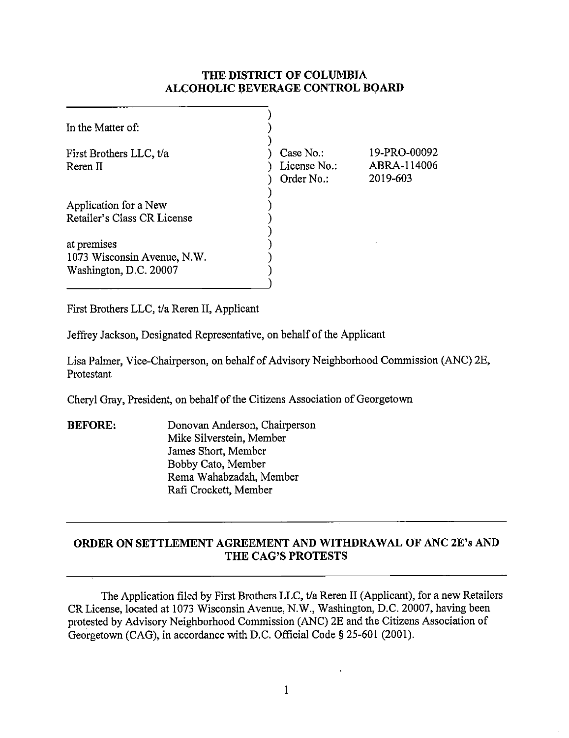## **THE DISTRICT OF COLUMBIA ALCOHOLIC BEVERAGE CONTROL BOARD**

| In the Matter of:                                                    |                                         |                                         |
|----------------------------------------------------------------------|-----------------------------------------|-----------------------------------------|
| First Brothers LLC, t/a<br>Reren II                                  | Case No.:<br>License No.:<br>Order No.: | 19-PRO-00092<br>ABRA-114006<br>2019-603 |
| Application for a New<br>Retailer's Class CR License                 |                                         |                                         |
| at premises<br>1073 Wisconsin Avenue, N.W.<br>Washington, D.C. 20007 |                                         |                                         |

First Brothers LLC, t/a Reren II, Applicant

Jeffrey Jackson, Designated Representative, on behalf of the Applicant

Lisa Palmer, Vice-Chairperson, on behalf of Advisory Neighborhood Commission (ANC) 2E, Protestant

Cheryl Gray, President, on behalf of the Citizens Association of Georgetown

**BEFORE:** Donovan Anderson, Chairperson Mike Silverstein, Member James Short, Member Bobby Cato, Member Rema Wahabzadah, Member Rafi Crockett, Member

## **ORDER ON SETTLEMENT AGREEMENT AND WITHDRAWAL OF ANC 2E's AND THE CAG'S PROTESTS**

The Application filed by First Brothers LLC, t/a Reren II (Applicant), for a new Retailers CR License, located at 1073 Wisconsin Avenue, N.W., Washington, D.C. 20007, having been protested by Advisory Neighborhood Commission (ANC) 2E and the Citizens Association of Georgetown (CAG), in accordance with D.C. Official Code§ 25-601 (2001).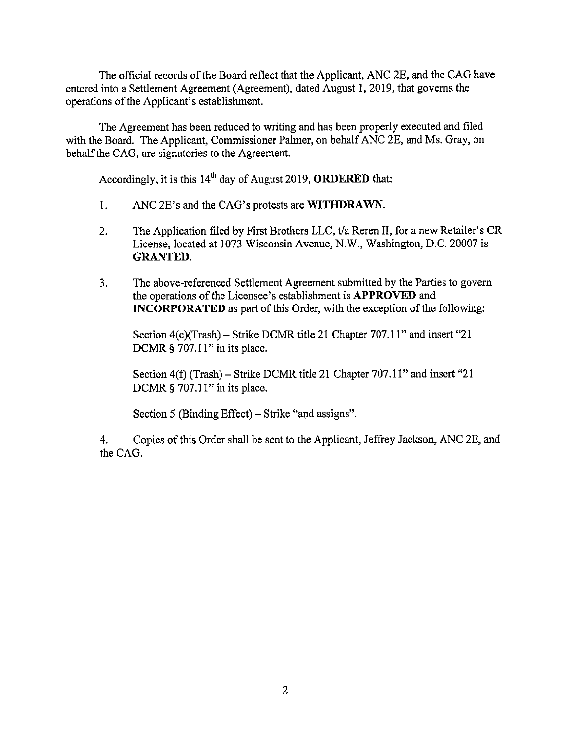The official records of the Board reflect that the Applicant, ANC 2E, and the CAG have entered into a Settlement Agreement (Agreement), dated August I, 2019, that governs the operations of the Applicant's establishment.

The Agreement has been reduced to writing and has been properly executed and filed with the Board. The Applicant, Commissioner Palmer, on behalf ANC 2E, and Ms. Gray, on behalf the CAG, are signatories to the Agreement.

Accordingly, it is this 14th day of August 2019, **ORDERED** that:

- I. ANC 2E's and the CAG's protests are **WITHDRAWN.**
- 2. The Application filed by First Brothers LLC, t/a Reren II, for a new Retailer's CR License, located at 1073 Wisconsin Avenue, N.W., Washington, D.C. 20007 is **GRANTED.**
- 3. The above-referenced Settlement Agreement submitted by the Parties to govern the operations of the Licensee's establishment is **APPROVED** and **INCORPORATED** as part of this Order, with the exception of the following:

Section  $4(c)$ (Trash) – Strike DCMR title 21 Chapter 707.11" and insert "21 DCMR  $\S$  707.11" in its place.

Section 4(f) (Trash) – Strike DCMR title 21 Chapter 707.11" and insert "21 DCMR § 707.11" in its place.

Section 5 (Binding Effect) – Strike "and assigns".

4. Copies of this Order shall be sent to the Applicant, Jeffrey Jackson, ANC 2E, and the CAG.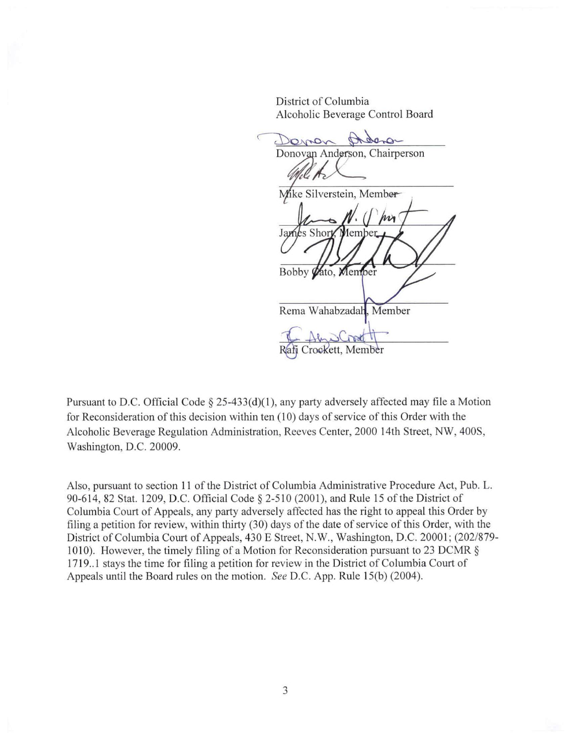District of Columbia Alcoholic Beverage Control Board

Jamen  $\sim$ Donovan Anderson, Chairperson Mike Silverstein, Member James Shor Bobby Vato, Member Rema Wahabzadah, Member Rafi Crockett, Member

Pursuant to D.C. Official Code § 25-433(d)(1), any party adversely affected may file a Motion for Reconsideration of this decision within ten (10) days of service of this Order with the Alcoholic Beverage Regulation Administration, Reeves Center, 2000 14th Street, NW, 400S, Washington, D.C. 20009.

Also, pursuant to section 11 of the District of Columbia Administrative Procedure Act, Pub. L. 90-614, 82 Stat. 1209, D.C. Official Code § 2-510 (2001), and Rule 15 of the District of Columbia Court of Appeals, any party adversely affected has the right to appeal this Order by filing a petition for review, within thirty (30) days of the date of service of this Order, with the District of Columbia Court of Appeals, 430 E Street, N.W., Washington, D.C. 20001; (202/879-1010). However, the timely filing of a Motion for Reconsideration pursuant to 23 DCMR § 1719..1 stays the time for filing a petition for review in the District of Columbia Court of Appeals until the Board rules on the motion. *See* D.C. App. Rule 15(b) (2004).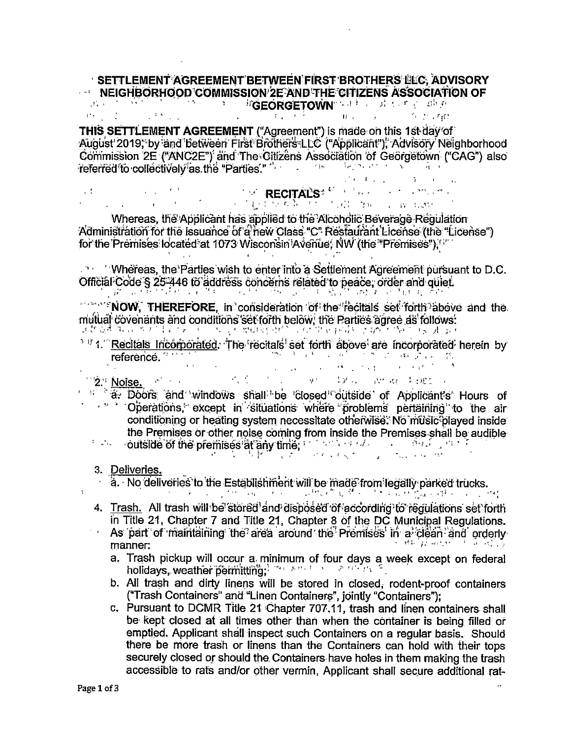## SETTLEMENT AGREEMENT BETWEEN FIRST BROTHERS LLC, ADVISORY  $\cdots$  NEIGHBORHOOD COMMISSION 2E AND THE CITIZENS ASSOCIATION OF **EXAMPLE THE TAX SECTION IN THE PARTIES ASSOCIATE**

fill the rate

THIS SETTLEMENT AGREEMENT ("Agreement") is made on this 1st day of August 2019, by and between First Brothers LLC ("Applicant"), Advisory Neighborhood Commission 2E ("ANC2E") and The Citizens Association of Georgetown ("CAG") also referred to collectively as the "Parties."

**The RECITALS<sup>2</sup> Contract Contract Contract Contract Contract Contract Contract Contract Contract Contract Contract Contract Contract Contract Contract Contract Contract Contract Contract Contract Contract Contract Contrac**  $\mathcal{L}^{(1)}$  $\chi^2_{\rm{max}}$  ,  $\chi^2_{\rm{max}}$  $\label{eq:2} \mathcal{F}=\left\{\begin{array}{ll} \text{MPM} \text{MPM} & \text{MPM} \\ \text{MPM} & \text{MPM} \end{array}\right. \quad \text{and} \quad \mathcal{F}=\left\{\begin{array}{ll} \mathcal{F}(\mathcal{G}) & \text{MPM} \end{array}\right. \quad \text{and} \quad \mathcal{F}(\mathcal{G}) = \mathcal{F}(\mathcal{G}) \quad \text{and} \quad \mathcal{F}(\mathcal{G}) = \mathcal{F}(\mathcal{G}) \quad \text{and} \quad \mathcal{F}(\mathcal{G}) = \mathcal{F}(\mathcal{G}) \quad \text$ 

Whereas, the Applicant has applied to the Alcoholic Beverage Regulation Administration for the issuance of a new Class "C" Restaurant License (the "License") for the Premises located at 1073 Wisconsin Avenue. NW (the "Premises"). "

. The Multimeter's Wish to enter into a Settlement Agreement pursuant to D.C. Official Code § 25-446 to address concerns related to peace, order and quiet.  $\mathcal{L}(\mathcal{C}) = \mathcal{L}(\mathcal{C})$  $\mathcal{L}_{\mathcal{A}}$  , and  $\mathcal{L}_{\mathcal{A}}$  , and  $\mathcal{L}_{\mathcal{A}}$  $\mathcal{F}(\mathcal{A})$  . and the state الموارد والأكاد ನ ಲಿಫ್ ಂದರಿ ಕಂಪುರಿಯಲ್ಲಿ

"Profile of THEREFORE, in consideration of the fecitals set forth above and the muftual covenants and conditions set forth below, the Parties agree as follows:

<sup>1</sup> <sup>1</sup> 1. Recitals Incorporated. The recitals set forth above are incorporated herein by reference. ್ ಹಾಗೂ ಕಾರ್ಯಕ್ರಮ ಮಾಡಿದ್ದಾರೆ. **Samuel Company** 

 $\sim 10^{11}$  and  $\sim 10^{11}$  km s  $^{-1}$  $\label{eq:1} \mathbf{F} = \frac{1}{\sqrt{2\pi}}\left(\frac{1}{\sqrt{2\pi}}\right)^{1/2}$  $\mathcal{F}_1$  ,  $\mathcal{F}_2$ V - 12 - 12 - 12 - 12 - 12 - 12 - 12  $12.4$  Noise,  $12.4$ 

<sup>14</sup> a. Doors and windows shall be closed outside of Applicant's Hours of " Operations, except in situations where problems pertaining to the air conditioning or heating system necessitate otherwise. No music played inside the Premises or other noise coming from inside the Premises shall be audible **Figure outside of the premises at any time, which we have a construction of the construction** 

organização de la secunda しんし 反動 こくえ

3. Deliveries.

 $\ddot{\cdot}$ 

a. No deliveries to the Establishment will be made from legally parked trucks.

"天下,你们可能一天,你可能不会都不了什么最好想到这里?" 计分析

- 4. Trash. All trash will be stored and disposed of according to regulations set forth in Title 21, Chapter 7 and Title 21, Chapter 8 of the DC Municipal Regulations.  $\leq$   $\downarrow$ As part of maintaining the area around the Premises in a clean and orderly
	- $343.134 \times 10^{-1}$ manner:
		- a. Trash pickup will occur a minimum of four days a week except on federal holidays, weather permitting. The and the sensitive

b. All trash and dirty linens will be stored in closed, rodent-proof containers ("Trash Containers" and "Linen Containers", jointly "Containers");

c. Pursuant to DCMR Title 21 Chapter 707.11, trash and linen containers shall be kept closed at all times other than when the container is being filled or emptied. Applicant shall inspect such Containers on a regular basis. Should there be more trash or linens than the Containers can hold with their tops securely closed or should the Containers have holes in them making the trash accessible to rats and/or other vermin, Applicant shall secure additional rat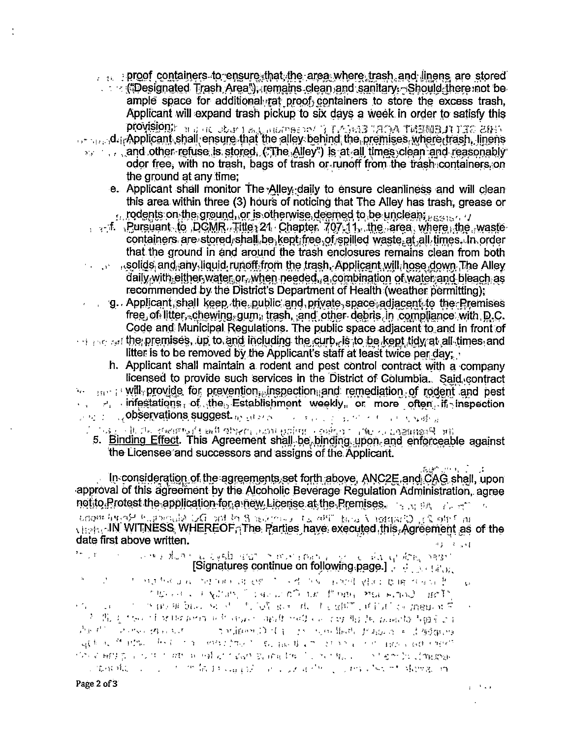proof containers to ensure that the area where trash and linens are stored

- **Examples of the Second Lines Area "A Temains clean and sanitary Should there not be** ample space for additional rat proof containers to store the excess trash. Applicant will expand trash pickup to six days a week in order to satisfy this PROVISION: But it observes that the second and the control of the control of
- or and **Applicant shall ensure that the alley behind the premises where trash, linens** and other refuse is stored. ("The Alley") is at all times clean and reasonably
	- odor free, with no trash, bags of trash or runoff from the trash containers on the ground at any time:
		- e. Applicant shall monitor The Alley daily to ensure cleanliness and will clean this area within three (3) hours of noticing that The Alley has trash, grease or rodents on the ground, or is otherwise deemed to be unclean; persual to
	- , . f. Pursuant to DCMR. Title, 21 Chapter 707.11, the area where the waste containers, are stored, shall be kept; free, of spilled waste, at all times. In order that the ground in and around the trash enclosures remains clean from both
	- , solids and any liquid runoff from the trash. Applicant will hose down The Alley daily with either water or. when needed, a combination of water and bleach as recommended by the District's Department of Health (weather permitting):
- $\Box$ g. Applicant shall keep the public and private space adjacent to the Premises free, of litter, chewing gum, trash, and other debris, in compliance with D.C. Code and Municipal Regulations. The public space adjacent to and in front of  $\cdots$  and  $\cdots$  and the premises, up to and including the curb, is to be kept tidy at all times and
	- litter is to be removed by the Applicant's staff at least twice per day;
	- h. Applicant shall maintain a rodent and pest control contract with a company licensed to provide such services in the District of Columbia. Said contract
- we can assume will provide for prevention, inspection and remediation of rodent and pest . Fr. infestations, of the Establishment weekly, or more often, if inspection
- **Contractions suggest** as ever a construction of state a
	- ึ่ "เฉบ ใช้แฮลเลอล แล้ว" เรอร์เลอล เอาโบน เวลาเลอล์ เป็นครับ ในคลาน เป็นครับ เป็นครับ เป็นครับ เป็นครับ เป็นคร
	- 5. Binding Effect. This Agreement shall be binding upon and enforceable against the Licensee and successors and assigns of the Applicant.

In consideration of the agreements set forth above, ANC2E and CAG shall, upon approval of this agreement by the Alcoholic Beverage Regulation Administration, agree not to Protest the application for a new License at the Premises. From the right

unour hypothesia of an in 8 access to only the Stage of the state of the date first above written.  $-4.3 - -3 = -11$ 

the continue on following page.] a detailed page of the continue on following page.] and a state of the

- ੈ। ਉਹ ਦੇ ਸਰਦਿਕ ਹਾਲ ਇਰਾਸਮ ਜਾਂ ਗਏ ਹੋ ਜਾਰੇ ਲਈ ਕੀਤਾ ਹੈ। ਇਸ ਵਿਕਾਸ ਦੇ  $\mathbf{G}$ TEGHT FASHION TO BE LOOP OF POUR PERSONAL BOTH
- $\mathcal{F}(\mathcal{E}) = \mathcal{F}(\mathcal{E})$  is the substitute of  $\mathcal{F}(\mathcal{E})$  . The first of the substitution of  $\mathcal{E}$ 3. 先天 1500 千里和64000 03 4500 3401 940 00 1 1 1 1 4 1 1 1 2 340 1 3 40 1 2 1 Parti Porsona av Salam Del E in nordado fragos e Ladana applicate the interest of the contracting in the pastician and the contraction of the enterth 网络金融经营 计步序 经财务 网络无尾鳞 医前面静脉 医上耳蜗 计二级 医血管切除细胞病 changed the second of the first straight of a last of the collection shows the dependent

 $\frac{1}{2}$